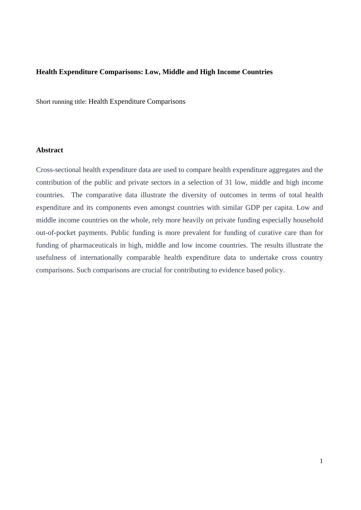# **Health Expenditure Comparisons: Low, Middle and High Income Countries**

Short running title: Health Expenditure Comparisons

# **Abstract**

Cross-sectional health expenditure data are used to compare health expenditure aggregates and the contribution of the public and private sectors in a selection of 31 low, middle and high income countries. The comparative data illustrate the diversity of outcomes in terms of total health expenditure and its components even amongst countries with similar GDP per capita. Low and middle income countries on the whole, rely more heavily on private funding especially household out-of-pocket payments. Public funding is more prevalent for funding of curative care than for funding of pharmaceuticals in high, middle and low income countries. The results illustrate the usefulness of internationally comparable health expenditure data to undertake cross country comparisons. Such comparisons are crucial for contributing to evidence based policy.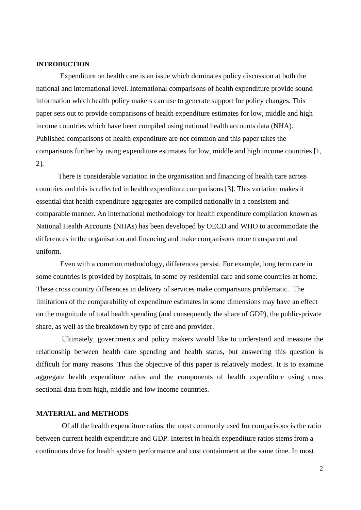#### **INTRODUCTION**

Expenditure on health care is an issue which dominates policy discussion at both the national and international level. International comparisons of health expenditure provide sound information which health policy makers can use to generate support for policy changes. This paper sets out to provide comparisons of health expenditure estimates for low, middle and high income countries which have been compiled using national health accounts data (NHA). Published comparisons of health expenditure are not common and this paper takes the comparisons further by using expenditure estimates for low, middle and high income countries [1, 2].

There is considerable variation in the organisation and financing of health care across countries and this is reflected in health expenditure comparisons [3]. This variation makes it essential that health expenditure aggregates are compiled nationally in a consistent and comparable manner. An international methodology for health expenditure compilation known as National Health Accounts (NHAs) has been developed by OECD and WHO to accommodate the differences in the organisation and financing and make comparisons more transparent and uniform.

Even with a common methodology, differences persist. For example, long term care in some countries is provided by hospitals, in some by residential care and some countries at home. These cross country differences in delivery of services make comparisons problematic. The limitations of the comparability of expenditure estimates in some dimensions may have an effect on the magnitude of total health spending (and consequently the share of GDP), the public-private share, as well as the breakdown by type of care and provider.

Ultimately, governments and policy makers would like to understand and measure the relationship between health care spending and health status, but answering this question is difficult for many reasons. Thus the objective of this paper is relatively modest. It is to examine aggregate health expenditure ratios and the components of health expenditure using cross sectional data from high, middle and low income countries.

#### **MATERIAL and METHODS**

Of all the health expenditure ratios, the most commonly used for comparisons is the ratio between current health expenditure and GDP. Interest in health expenditure ratios stems from a continuous drive for health system performance and cost containment at the same time. In most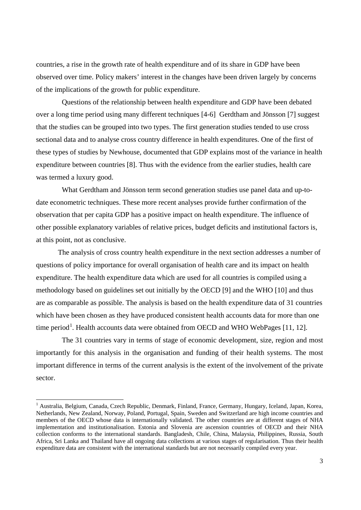countries, a rise in the growth rate of health expenditure and of its share in GDP have been observed over time. Policy makers' interest in the changes have been driven largely by concerns of the implications of the growth for public expenditure.

Questions of the relationship between health expenditure and GDP have been debated over a long time period using many different techniques [4-6] Gerdtham and Jönsson [7] suggest that the studies can be grouped into two types. The first generation studies tended to use cross sectional data and to analyse cross country difference in health expenditures. One of the first of these types of studies by Newhouse, documented that GDP explains most of the variance in health expenditure between countries [8]. Thus with the evidence from the earlier studies, health care was termed a luxury good.

What Gerdtham and Jönsson term second generation studies use panel data and up-todate econometric techniques. These more recent analyses provide further confirmation of the observation that per capita GDP has a positive impact on health expenditure. The influence of other possible explanatory variables of relative prices, budget deficits and institutional factors is, at this point, not as conclusive.

The analysis of cross country health expenditure in the next section addresses a number of questions of policy importance for overall organisation of health care and its impact on health expenditure. The health expenditure data which are used for all countries is compiled using a methodology based on guidelines set out initially by the OECD [9] and the WHO [10] and thus are as comparable as possible. The analysis is based on the health expenditure data of 31 countries which have been chosen as they have produced consistent health accounts data for more than one time period<sup>[1](#page-2-0)</sup>. Health accounts data were obtained from OECD and WHO WebPages [11, 12].

The 31 countries vary in terms of stage of economic development, size, region and most importantly for this analysis in the organisation and funding of their health systems. The most important difference in terms of the current analysis is the extent of the involvement of the private sector.

<span id="page-2-0"></span><sup>&</sup>lt;sup>1</sup> Australia, Belgium, Canada, Czech Republic, Denmark, Finland, France, Germany, Hungary, Iceland, Japan, Korea, Netherlands, New Zealand, Norway, Poland, Portugal, Spain, Sweden and Switzerland are high income countries and members of the OECD whose data is internationally validated. The other countries are at different stages of NHA implementation and institutionalisation. Estonia and Slovenia are ascension countries of OECD and their NHA collection conforms to the international standards. Bangladesh, Chile, China, Malaysia, Philippines, Russia, South Africa, Sri Lanka and Thailand have all ongoing data collections at various stages of regularisation. Thus their health expenditure data are consistent with the international standards but are not necessarily compiled every year.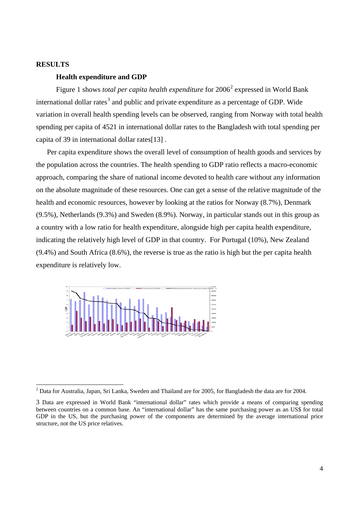## **RESULTS**

# **Health expenditure and GDP**

Figure 1 shows *total per capita health expenditure* for [2](#page-3-0)006<sup>2</sup> expressed in World Bank international dollar rates<sup>[3](#page-3-1)</sup> and public and private expenditure as a percentage of GDP. Wide variation in overall health spending levels can be observed, ranging from Norway with total health spending per capita of 4521 in international dollar rates to the Bangladesh with total spending per capita of 39 in international dollar rates[13] .

Per capita expenditure shows the overall level of consumption of health goods and services by the population across the countries. The health spending to GDP ratio reflects a macro-economic approach, comparing the share of national income devoted to health care without any information on the absolute magnitude of these resources. One can get a sense of the relative magnitude of the health and economic resources, however by looking at the ratios for Norway (8.7%), Denmark (9.5%), Netherlands (9.3%) and Sweden (8.9%). Norway, in particular stands out in this group as a country with a low ratio for health expenditure, alongside high per capita health expenditure, indicating the relatively high level of GDP in that country. For Portugal (10%), New Zealand (9.4%) and South Africa (8.6%), the reverse is true as the ratio is high but the per capita health expenditure is relatively low.



<span id="page-3-0"></span> $2$  Data for Australia, Japan, Sri Lanka, Sweden and Thailand are for 2005, for Bangladesh the data are for 2004.

<span id="page-3-1"></span><sup>3</sup> Data are expressed in World Bank "international dollar" rates which provide a means of comparing spending between countries on a common base. An "international dollar" has the same purchasing power as an US\$ for total GDP in the US, but the purchasing power of the components are determined by the average international price structure, not the US price relatives.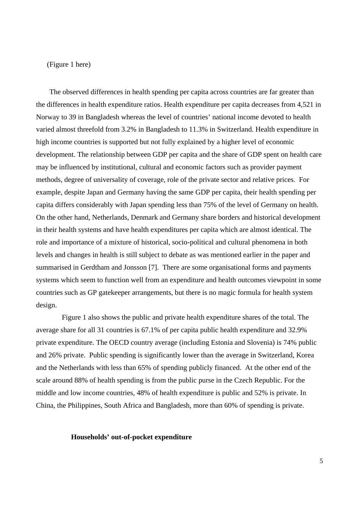#### (Figure 1 here)

The observed differences in health spending per capita across countries are far greater than the differences in health expenditure ratios. Health expenditure per capita decreases from 4,521 in Norway to 39 in Bangladesh whereas the level of countries' national income devoted to health varied almost threefold from 3.2% in Bangladesh to 11.3% in Switzerland. Health expenditure in high income countries is supported but not fully explained by a higher level of economic development. The relationship between GDP per capita and the share of GDP spent on health care may be influenced by institutional, cultural and economic factors such as provider payment methods, degree of universality of coverage, role of the private sector and relative prices. For example, despite Japan and Germany having the same GDP per capita, their health spending per capita differs considerably with Japan spending less than 75% of the level of Germany on health. On the other hand, Netherlands, Denmark and Germany share borders and historical development in their health systems and have health expenditures per capita which are almost identical. The role and importance of a mixture of historical, socio-political and cultural phenomena in both levels and changes in health is still subject to debate as was mentioned earlier in the paper and summarised in Gerdtham and Jonsson [7]. There are some organisational forms and payments systems which seem to function well from an expenditure and health outcomes viewpoint in some countries such as GP gatekeeper arrangements, but there is no magic formula for health system design.

Figure 1 also shows the public and private health expenditure shares of the total. The average share for all 31 countries is 67.1% of per capita public health expenditure and 32.9% private expenditure. The OECD country average (including Estonia and Slovenia) is 74% public and 26% private. Public spending is significantly lower than the average in Switzerland, Korea and the Netherlands with less than 65% of spending publicly financed. At the other end of the scale around 88% of health spending is from the public purse in the Czech Republic. For the middle and low income countries, 48% of health expenditure is public and 52% is private. In China, the Philippines, South Africa and Bangladesh, more than 60% of spending is private.

#### **Households' out-of-pocket expenditure**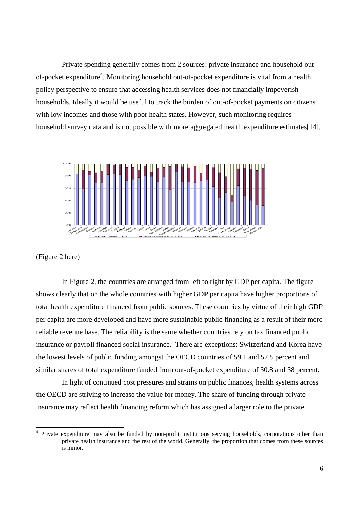Private spending generally comes from 2 sources: private insurance and household out-of-pocket expenditure<sup>[4](#page-5-0)</sup>. Monitoring household out-of-pocket expenditure is vital from a health policy perspective to ensure that accessing health services does not financially impoverish households. Ideally it would be useful to track the burden of out-of-pocket payments on citizens with low incomes and those with poor health states. However, such monitoring requires household survey data and is not possible with more aggregated health expenditure estimates[14].



(Figure 2 here)

In Figure 2, the countries are arranged from left to right by GDP per capita. The figure shows clearly that on the whole countries with higher GDP per capita have higher proportions of total health expenditure financed from public sources. These countries by virtue of their high GDP per capita are more developed and have more sustainable public financing as a result of their more reliable revenue base. The reliability is the same whether countries rely on tax financed public insurance or payroll financed social insurance. There are exceptions: Switzerland and Korea have the lowest levels of public funding amongst the OECD countries of 59.1 and 57.5 percent and similar shares of total expenditure funded from out-of-pocket expenditure of 30.8 and 38 percent.

In light of continued cost pressures and strains on public finances, health systems across the OECD are striving to increase the value for money. The share of funding through private insurance may reflect health financing reform which has assigned a larger role to the private

<span id="page-5-0"></span> <sup>4</sup> Private expenditure may also be funded by non-profit institutions serving households, corporations other than private health insurance and the rest of the world. Generally, the proportion that comes from these sources is minor.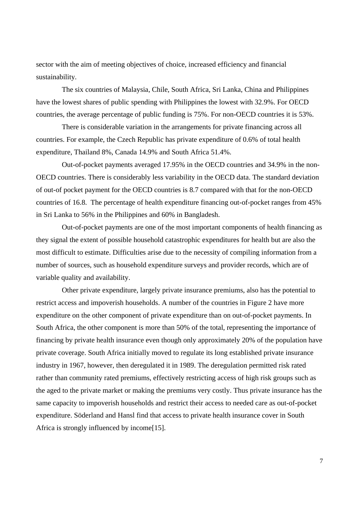sector with the aim of meeting objectives of choice, increased efficiency and financial sustainability.

The six countries of Malaysia, Chile, South Africa, Sri Lanka, China and Philippines have the lowest shares of public spending with Philippines the lowest with 32.9%. For OECD countries, the average percentage of public funding is 75%. For non-OECD countries it is 53%.

There is considerable variation in the arrangements for private financing across all countries. For example, the Czech Republic has private expenditure of 0.6% of total health expenditure, Thailand 8%, Canada 14.9% and South Africa 51.4%.

Out-of-pocket payments averaged 17.95% in the OECD countries and 34.9% in the non-OECD countries. There is considerably less variability in the OECD data. The standard deviation of out-of pocket payment for the OECD countries is 8.7 compared with that for the non-OECD countries of 16.8. The percentage of health expenditure financing out-of-pocket ranges from 45% in Sri Lanka to 56% in the Philippines and 60% in Bangladesh.

Out-of-pocket payments are one of the most important components of health financing as they signal the extent of possible household catastrophic expenditures for health but are also the most difficult to estimate. Difficulties arise due to the necessity of compiling information from a number of sources, such as household expenditure surveys and provider records, which are of variable quality and availability.

Other private expenditure, largely private insurance premiums, also has the potential to restrict access and impoverish households. A number of the countries in Figure 2 have more expenditure on the other component of private expenditure than on out-of-pocket payments. In South Africa, the other component is more than 50% of the total, representing the importance of financing by private health insurance even though only approximately 20% of the population have private coverage. South Africa initially moved to regulate its long established private insurance industry in 1967, however, then deregulated it in 1989. The deregulation permitted risk rated rather than community rated premiums, effectively restricting access of high risk groups such as the aged to the private market or making the premiums very costly. Thus private insurance has the same capacity to impoverish households and restrict their access to needed care as out-of-pocket expenditure. Söderland and Hansl find that access to private health insurance cover in South Africa is strongly influenced by income[15].

7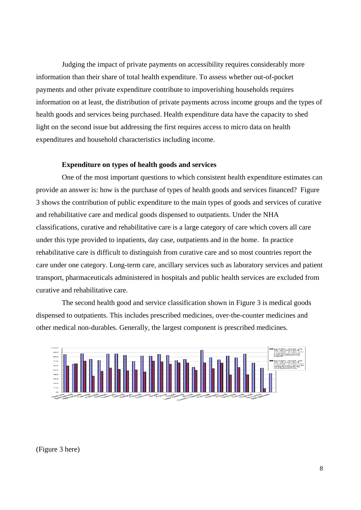Judging the impact of private payments on accessibility requires considerably more information than their share of total health expenditure. To assess whether out-of-pocket payments and other private expenditure contribute to impoverishing households requires information on at least, the distribution of private payments across income groups and the types of health goods and services being purchased. Health expenditure data have the capacity to shed light on the second issue but addressing the first requires access to micro data on health expenditures and household characteristics including income.

## **Expenditure on types of health goods and services**

One of the most important questions to which consistent health expenditure estimates can provide an answer is: how is the purchase of types of health goods and services financed? Figure 3 shows the contribution of public expenditure to the main types of goods and services of curative and rehabilitative care and medical goods dispensed to outpatients. Under the NHA classifications, curative and rehabilitative care is a large category of care which covers all care under this type provided to inpatients, day case, outpatients and in the home. In practice rehabilitative care is difficult to distinguish from curative care and so most countries report the care under one category. Long-term care, ancillary services such as laboratory services and patient transport, pharmaceuticals administered in hospitals and public health services are excluded from curative and rehabilitative care.

The second health good and service classification shown in Figure 3 is medical goods dispensed to outpatients. This includes prescribed medicines, over-the-counter medicines and other medical non-durables. Generally, the largest component is prescribed medicines.



(Figure 3 here)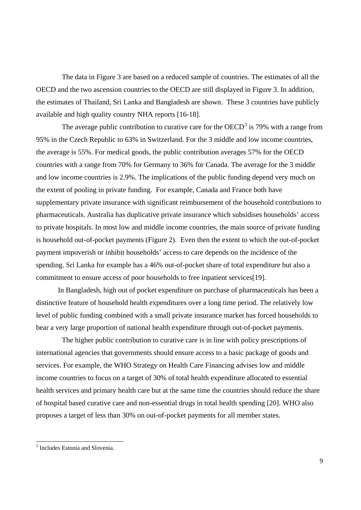The data in Figure 3 are based on a reduced sample of countries. The estimates of all the OECD and the two ascension countries to the OECD are still displayed in Figure 3. In addition, the estimates of Thailand, Sri Lanka and Bangladesh are shown. These 3 countries have publicly available and high quality country NHA reports [16-18].

The average public contribution to curative care for the  $OECD<sup>5</sup>$  $OECD<sup>5</sup>$  $OECD<sup>5</sup>$  is 79% with a range from 95% in the Czech Republic to 63% in Switzerland. For the 3 middle and low income countries, the average is 55%. For medical goods, the public contribution averages 57% for the OECD countries with a range from 70% for Germany to 36% for Canada. The average for the 3 middle and low income countries is 2.9%. The implications of the public funding depend very much on the extent of pooling in private funding. For example, Canada and France both have supplementary private insurance with significant reimbursement of the household contributions to pharmaceuticals. Australia has duplicative private insurance which subsidises households' access to private hospitals. In most low and middle income countries, the main source of private funding is household out-of-pocket payments (Figure 2). Even then the extent to which the out-of-pocket payment impoverish or inhibit households' access to care depends on the incidence of the spending. Sri Lanka for example has a 46% out-of-pocket share of total expenditure but also a commitment to ensure access of poor households to free inpatient services[19].

In Bangladesh, high out of pocket expenditure on purchase of pharmaceuticals has been a distinctive feature of household health expenditures over a long time period. The relatively low level of public funding combined with a small private insurance market has forced households to bear a very large proportion of national health expenditure through out-of-pocket payments.

The higher public contribution to curative care is in line with policy prescriptions of international agencies that governments should ensure access to a basic package of goods and services. For example, the WHO Strategy on Health Care Financing advises low and middle income countries to focus on a target of 30% of total health expenditure allocated to essential health services and primary health care but at the same time the countries should reduce the share of hospital based curative care and non-essential drugs in total health spending [20]. WHO also proposes a target of less than 30% on out-of-pocket payments for all member states.

<span id="page-8-0"></span> <sup>5</sup> Includes Estonia and Slovenia.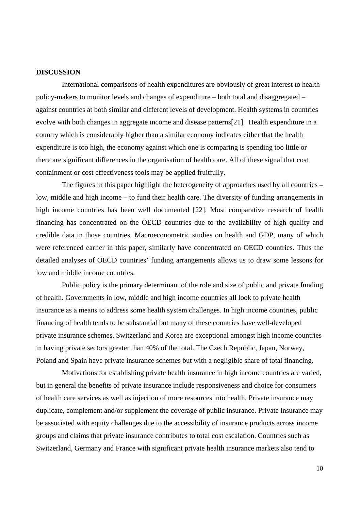## **DISCUSSION**

International comparisons of health expenditures are obviously of great interest to health policy-makers to monitor levels and changes of expenditure – both total and disaggregated – against countries at both similar and different levels of development. Health systems in countries evolve with both changes in aggregate income and disease patterns[21]. Health expenditure in a country which is considerably higher than a similar economy indicates either that the health expenditure is too high, the economy against which one is comparing is spending too little or there are significant differences in the organisation of health care. All of these signal that cost containment or cost effectiveness tools may be applied fruitfully.

The figures in this paper highlight the heterogeneity of approaches used by all countries – low, middle and high income – to fund their health care. The diversity of funding arrangements in high income countries has been well documented [22]. Most comparative research of health financing has concentrated on the OECD countries due to the availability of high quality and credible data in those countries. Macroeconometric studies on health and GDP, many of which were referenced earlier in this paper, similarly have concentrated on OECD countries. Thus the detailed analyses of OECD countries' funding arrangements allows us to draw some lessons for low and middle income countries.

Public policy is the primary determinant of the role and size of public and private funding of health. Governments in low, middle and high income countries all look to private health insurance as a means to address some health system challenges. In high income countries, public financing of health tends to be substantial but many of these countries have well-developed private insurance schemes. Switzerland and Korea are exceptional amongst high income countries in having private sectors greater than 40% of the total. The Czech Republic, Japan, Norway, Poland and Spain have private insurance schemes but with a negligible share of total financing.

Motivations for establishing private health insurance in high income countries are varied, but in general the benefits of private insurance include responsiveness and choice for consumers of health care services as well as injection of more resources into health. Private insurance may duplicate, complement and/or supplement the coverage of public insurance. Private insurance may be associated with equity challenges due to the accessibility of insurance products across income groups and claims that private insurance contributes to total cost escalation. Countries such as Switzerland, Germany and France with significant private health insurance markets also tend to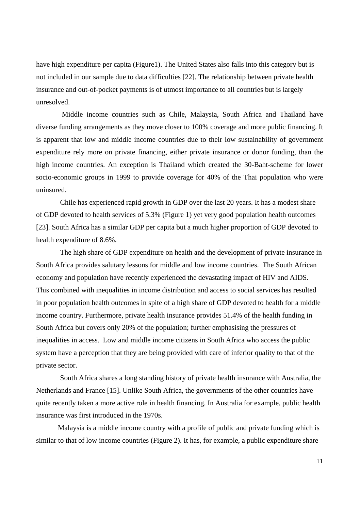have high expenditure per capita (Figure1). The United States also falls into this category but is not included in our sample due to data difficulties [22]. The relationship between private health insurance and out-of-pocket payments is of utmost importance to all countries but is largely unresolved.

Middle income countries such as Chile, Malaysia, South Africa and Thailand have diverse funding arrangements as they move closer to 100% coverage and more public financing. It is apparent that low and middle income countries due to their low sustainability of government expenditure rely more on private financing, either private insurance or donor funding, than the high income countries. An exception is Thailand which created the 30-Baht-scheme for lower socio-economic groups in 1999 to provide coverage for 40% of the Thai population who were uninsured.

Chile has experienced rapid growth in GDP over the last 20 years. It has a modest share of GDP devoted to health services of 5.3% (Figure 1) yet very good population health outcomes [23]. South Africa has a similar GDP per capita but a much higher proportion of GDP devoted to health expenditure of 8.6%.

The high share of GDP expenditure on health and the development of private insurance in South Africa provides salutary lessons for middle and low income countries. The South African economy and population have recently experienced the devastating impact of HIV and AIDS. This combined with inequalities in income distribution and access to social services has resulted in poor population health outcomes in spite of a high share of GDP devoted to health for a middle income country. Furthermore, private health insurance provides 51.4% of the health funding in South Africa but covers only 20% of the population; further emphasising the pressures of inequalities in access. Low and middle income citizens in South Africa who access the public system have a perception that they are being provided with care of inferior quality to that of the private sector.

South Africa shares a long standing history of private health insurance with Australia, the Netherlands and France [15]. Unlike South Africa, the governments of the other countries have quite recently taken a more active role in health financing. In Australia for example, public health insurance was first introduced in the 1970s.

Malaysia is a middle income country with a profile of public and private funding which is similar to that of low income countries (Figure 2). It has, for example, a public expenditure share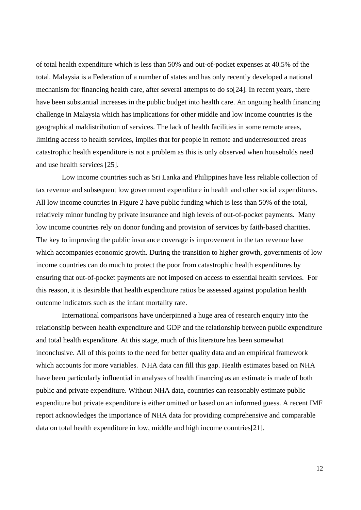of total health expenditure which is less than 50% and out-of-pocket expenses at 40.5% of the total. Malaysia is a Federation of a number of states and has only recently developed a national mechanism for financing health care, after several attempts to do so[24]. In recent years, there have been substantial increases in the public budget into health care. An ongoing health financing challenge in Malaysia which has implications for other middle and low income countries is the geographical maldistribution of services. The lack of health facilities in some remote areas, limiting access to health services, implies that for people in remote and underresourced areas catastrophic health expenditure is not a problem as this is only observed when households need and use health services [25].

Low income countries such as Sri Lanka and Philippines have less reliable collection of tax revenue and subsequent low government expenditure in health and other social expenditures. All low income countries in Figure 2 have public funding which is less than 50% of the total, relatively minor funding by private insurance and high levels of out-of-pocket payments. Many low income countries rely on donor funding and provision of services by faith-based charities. The key to improving the public insurance coverage is improvement in the tax revenue base which accompanies economic growth. During the transition to higher growth, governments of low income countries can do much to protect the poor from catastrophic health expenditures by ensuring that out-of-pocket payments are not imposed on access to essential health services. For this reason, it is desirable that health expenditure ratios be assessed against population health outcome indicators such as the infant mortality rate.

International comparisons have underpinned a huge area of research enquiry into the relationship between health expenditure and GDP and the relationship between public expenditure and total health expenditure. At this stage, much of this literature has been somewhat inconclusive. All of this points to the need for better quality data and an empirical framework which accounts for more variables. NHA data can fill this gap. Health estimates based on NHA have been particularly influential in analyses of health financing as an estimate is made of both public and private expenditure. Without NHA data, countries can reasonably estimate public expenditure but private expenditure is either omitted or based on an informed guess. A recent IMF report acknowledges the importance of NHA data for providing comprehensive and comparable data on total health expenditure in low, middle and high income countries[21].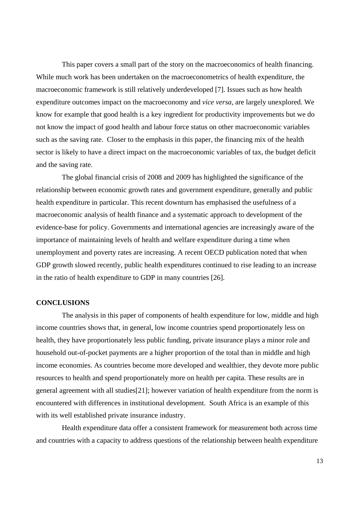This paper covers a small part of the story on the macroeconomics of health financing. While much work has been undertaken on the macroeconometrics of health expenditure, the macroeconomic framework is still relatively underdeveloped [7]. Issues such as how health expenditure outcomes impact on the macroeconomy and *vice versa*, are largely unexplored. We know for example that good health is a key ingredient for productivity improvements but we do not know the impact of good health and labour force status on other macroeconomic variables such as the saving rate. Closer to the emphasis in this paper, the financing mix of the health sector is likely to have a direct impact on the macroeconomic variables of tax, the budget deficit and the saving rate.

The global financial crisis of 2008 and 2009 has highlighted the significance of the relationship between economic growth rates and government expenditure, generally and public health expenditure in particular. This recent downturn has emphasised the usefulness of a macroeconomic analysis of health finance and a systematic approach to development of the evidence-base for policy. Governments and international agencies are increasingly aware of the importance of maintaining levels of health and welfare expenditure during a time when unemployment and poverty rates are increasing. A recent OECD publication noted that when GDP growth slowed recently, public health expenditures continued to rise leading to an increase in the ratio of health expenditure to GDP in many countries [26].

# **CONCLUSIONS**

The analysis in this paper of components of health expenditure for low, middle and high income countries shows that, in general, low income countries spend proportionately less on health, they have proportionately less public funding, private insurance plays a minor role and household out-of-pocket payments are a higher proportion of the total than in middle and high income economies. As countries become more developed and wealthier, they devote more public resources to health and spend proportionately more on health per capita. These results are in general agreement with all studies[21]; however variation of health expenditure from the norm is encountered with differences in institutional development. South Africa is an example of this with its well established private insurance industry.

Health expenditure data offer a consistent framework for measurement both across time and countries with a capacity to address questions of the relationship between health expenditure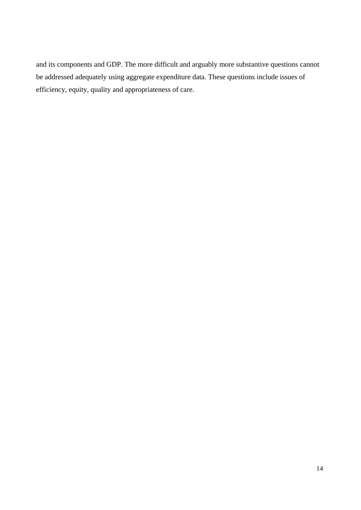and its components and GDP. The more difficult and arguably more substantive questions cannot be addressed adequately using aggregate expenditure data. These questions include issues of efficiency, equity, quality and appropriateness of care.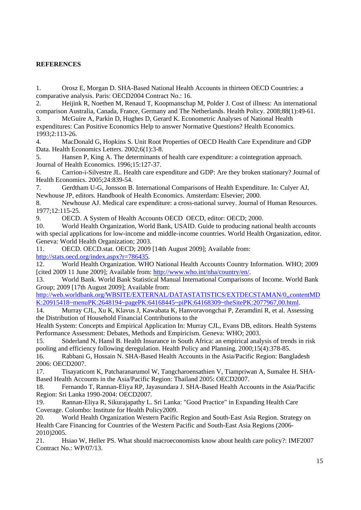# **REFERENCES**

1. Orosz E, Morgan D. SHA-Based National Health Accounts in thirteen OECD Countries: a comparative analysis. Paris: OECD2004 Contract No.: 16.

2. Heijink R, Noethen M, Renaud T, Koopmanschap M, Polder J. Cost of illness: An international comparison Australia, Canada, France, Germany and The Netherlands. Health Policy. 2008;88(1):49-61.

3. McGuire A, Parkin D, Hughes D, Gerard K. Econometric Analyses of National Health expenditures: Can Positive Economics Help to answer Normative Questions? Health Economics. 1993;2:113-26.

4. MacDonald G, Hopkins S. Unit Root Properties of OECD Health Care Expenditure and GDP Data. Health Economics Letters. 2002;6(1):3-8.

5. Hansen P, King A. The determinants of health care expenditure: a cointegration approach. Journal of Health Economics. 1996;15:127-37.

6. Carrion-i-Silvestre JL. Health care expenditure and GDP: Are they broken stationary? Journal of Health Economics. 2005;24:839-54.

7. Gerdtham U-G, Jonsson B. International Comparisons of Health Expenditure. In: Culyer AJ, Newhouse JP, editors. Handbook of Health Economics. Amsterdam: Elsevier; 2000.

8. Newhouse AJ. Medical care expenditure: a cross-national survey. Journal of Human Resources. 1977;12:115-25.

9. OECD. A System of Health Accounts OECD OECD, editor: OECD; 2000.

10. World Health Organization, World Bank, USAID. Guide to producing national health accounts with special applications for low-income and middle-income countries. World Health Organization, editor. Geneva: World Health Organization; 2003.

11. OECD. OECD.stat. OECD; 2009 [14th August 2009]; Available from: [http://stats.oecd.org/index.aspx?r=786435.](http://stats.oecd.org/index.aspx?r=786435)

12. World Health Organization. WHO National Health Accounts Country Information. WHO; 2009 [cited 2009 11 June 2009]; Available from: [http://www.who.int/nha/country/en/.](http://www.who.int/nha/country/en/)

13. World Bank. World Bank Statistical Manual International Comparisons of Income. World Bank Group; 2009 [17th August 2009]; Available from:

[http://web.worldbank.org/WBSITE/EXTERNAL/DATASTATISTICS/EXTDECSTAMAN/0,,contentMD](http://web.worldbank.org/WBSITE/EXTERNAL/DATASTATISTICS/EXTDECSTAMAN/0,,contentMDK:20915418~menuPK:2648194~pagePK:64168445~piPK:64168309~theSitePK:2077967,00.html) [K:20915418~menuPK:2648194~pagePK:64168445~piPK:64168309~theSitePK:2077967,00.html.](http://web.worldbank.org/WBSITE/EXTERNAL/DATASTATISTICS/EXTDECSTAMAN/0,,contentMDK:20915418~menuPK:2648194~pagePK:64168445~piPK:64168309~theSitePK:2077967,00.html)

14. Murray CJL, Xu K, Klavus J, Kawabata K, Hanvoravongchai P, Zeramdini R, et al. Assessing the Distribution of Household Financial Contributions to the

Health System: Concepts and Empirical Application In: Murray CJL, Evans DB, editors. Health Systems Performance Assessment: Debates, Methods and Empiricism. Geneva: WHO; 2003.

15. Söderland N, Hansl B. Health Insurance in South Africa: an empirical analysis of trends in risk pooling and efficiency following deregulation. Health Policy and Planning. 2000;15(4):378-85.

16. Rabbani G, Hossain N. SHA-Based Health Accounts in the Asia/Pacific Region: Bangladesh 2006: OECD2007.

17. Tisayaticom K, Patcharanarumol W, Tangcharoensathien V, Tiampriwan A, Sumalee H. SHA-Based Health Accounts in the Asia/Pacific Region: Thailand 2005: OECD2007.

18. Fernando T, Rannan-Eliya RP, Jayasundara J. SHA-Based Health Accounts in the Asia/Pacific Region: Sri Lanka 1990-2004: OECD2007.

19. Rannan-Eliya R, Sikurajapathy L. Sri Lanka: "Good Practice" in Expanding Health Care Coverage. Colombo: Institute for Health Policy2009.

20. World Health Organization Western Pacific Region and South-East Asia Region. Strategy on Health Care Financing for Countries of the Western Pacific and South-East Asia Regions (2006- 2010)2005.

21. Hsiao W, Heller PS. What should macroeconomists know about health care policy?: IMF2007 Contract No.: WP/07/13.